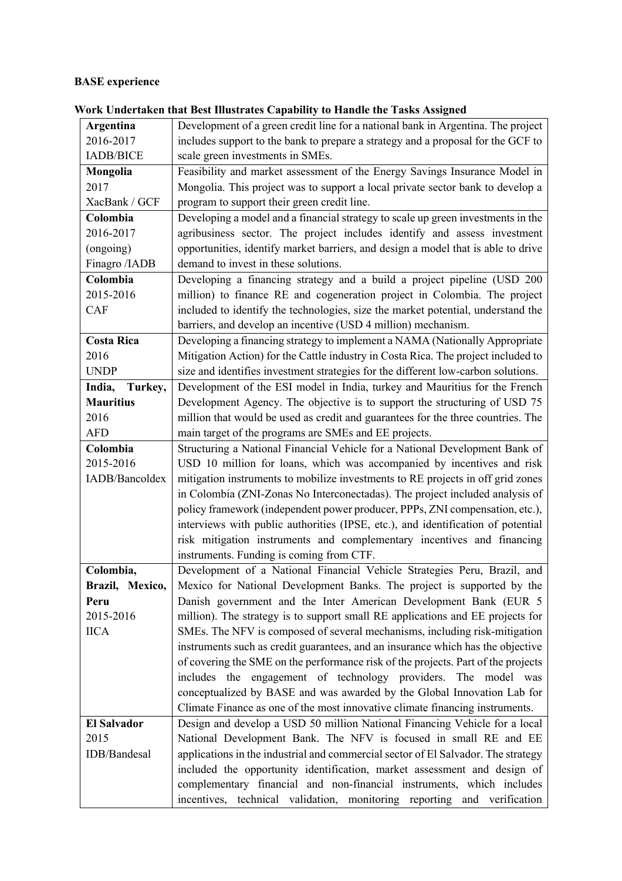## **BASE experience**

|                    | Chuci taken that Dest Inustrates Capability to Handie the Tasks Tissigned         |
|--------------------|-----------------------------------------------------------------------------------|
| Argentina          | Development of a green credit line for a national bank in Argentina. The project  |
| 2016-2017          | includes support to the bank to prepare a strategy and a proposal for the GCF to  |
| <b>IADB/BICE</b>   | scale green investments in SMEs.                                                  |
| Mongolia           | Feasibility and market assessment of the Energy Savings Insurance Model in        |
| 2017               | Mongolia. This project was to support a local private sector bank to develop a    |
| XacBank / GCF      | program to support their green credit line.                                       |
| Colombia           | Developing a model and a financial strategy to scale up green investments in the  |
| 2016-2017          | agribusiness sector. The project includes identify and assess investment          |
| (ongoing)          | opportunities, identify market barriers, and design a model that is able to drive |
| Finagro /IADB      | demand to invest in these solutions.                                              |
| Colombia           | Developing a financing strategy and a build a project pipeline (USD 200           |
| 2015-2016          | million) to finance RE and cogeneration project in Colombia. The project          |
| CAF                | included to identify the technologies, size the market potential, understand the  |
|                    | barriers, and develop an incentive (USD 4 million) mechanism.                     |
| <b>Costa Rica</b>  | Developing a financing strategy to implement a NAMA (Nationally Appropriate       |
| 2016               | Mitigation Action) for the Cattle industry in Costa Rica. The project included to |
| <b>UNDP</b>        | size and identifies investment strategies for the different low-carbon solutions. |
| India,<br>Turkey,  | Development of the ESI model in India, turkey and Mauritius for the French        |
| <b>Mauritius</b>   | Development Agency. The objective is to support the structuring of USD 75         |
| 2016               | million that would be used as credit and guarantees for the three countries. The  |
| <b>AFD</b>         | main target of the programs are SMEs and EE projects.                             |
| Colombia           | Structuring a National Financial Vehicle for a National Development Bank of       |
| 2015-2016          | USD 10 million for loans, which was accompanied by incentives and risk            |
| IADB/Bancoldex     | mitigation instruments to mobilize investments to RE projects in off grid zones   |
|                    | in Colombia (ZNI-Zonas No Interconectadas). The project included analysis of      |
|                    | policy framework (independent power producer, PPPs, ZNI compensation, etc.),      |
|                    | interviews with public authorities (IPSE, etc.), and identification of potential  |
|                    | risk mitigation instruments and complementary incentives and financing            |
|                    | instruments. Funding is coming from CTF.                                          |
| Colombia,          | Development of a National Financial Vehicle Strategies Peru, Brazil, and          |
| Brazil, Mexico,    | Mexico for National Development Banks. The project is supported by the            |
| Peru               | Danish government and the Inter American Development Bank (EUR 5                  |
| 2015-2016          | million). The strategy is to support small RE applications and EE projects for    |
| <b>IICA</b>        | SMEs. The NFV is composed of several mechanisms, including risk-mitigation        |
|                    | instruments such as credit guarantees, and an insurance which has the objective   |
|                    | of covering the SME on the performance risk of the projects. Part of the projects |
|                    | includes the engagement of technology providers. The model was                    |
|                    | conceptualized by BASE and was awarded by the Global Innovation Lab for           |
|                    | Climate Finance as one of the most innovative climate financing instruments.      |
| <b>El Salvador</b> | Design and develop a USD 50 million National Financing Vehicle for a local        |
| 2015               | National Development Bank. The NFV is focused in small RE and EE                  |
| IDB/Bandesal       | applications in the industrial and commercial sector of El Salvador. The strategy |
|                    | included the opportunity identification, market assessment and design of          |
|                    | complementary financial and non-financial instruments, which includes             |
|                    | incentives, technical validation, monitoring reporting and verification           |

**Work Undertaken that Best Illustrates Capability to Handle the Tasks Assigned**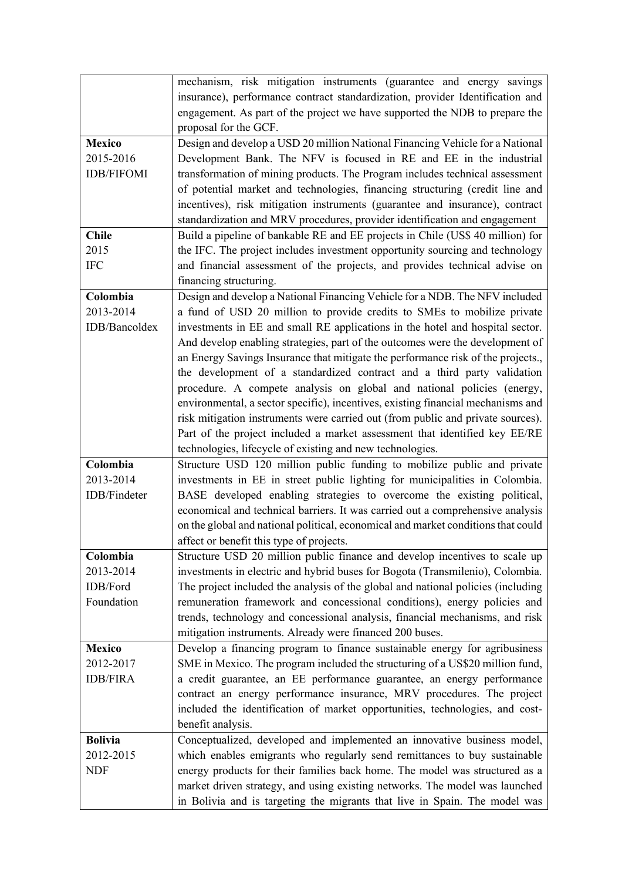|                   | mechanism, risk mitigation instruments (guarantee and energy savings              |
|-------------------|-----------------------------------------------------------------------------------|
|                   | insurance), performance contract standardization, provider Identification and     |
|                   | engagement. As part of the project we have supported the NDB to prepare the       |
|                   | proposal for the GCF.                                                             |
| <b>Mexico</b>     | Design and develop a USD 20 million National Financing Vehicle for a National     |
| 2015-2016         | Development Bank. The NFV is focused in RE and EE in the industrial               |
| <b>IDB/FIFOMI</b> | transformation of mining products. The Program includes technical assessment      |
|                   | of potential market and technologies, financing structuring (credit line and      |
|                   | incentives), risk mitigation instruments (guarantee and insurance), contract      |
|                   | standardization and MRV procedures, provider identification and engagement        |
| <b>Chile</b>      | Build a pipeline of bankable RE and EE projects in Chile (US\$ 40 million) for    |
| 2015              | the IFC. The project includes investment opportunity sourcing and technology      |
| <b>IFC</b>        | and financial assessment of the projects, and provides technical advise on        |
|                   | financing structuring.                                                            |
| Colombia          | Design and develop a National Financing Vehicle for a NDB. The NFV included       |
| 2013-2014         | a fund of USD 20 million to provide credits to SMEs to mobilize private           |
| IDB/Bancoldex     | investments in EE and small RE applications in the hotel and hospital sector.     |
|                   | And develop enabling strategies, part of the outcomes were the development of     |
|                   | an Energy Savings Insurance that mitigate the performance risk of the projects.,  |
|                   | the development of a standardized contract and a third party validation           |
|                   | procedure. A compete analysis on global and national policies (energy,            |
|                   | environmental, a sector specific), incentives, existing financial mechanisms and  |
|                   | risk mitigation instruments were carried out (from public and private sources).   |
|                   | Part of the project included a market assessment that identified key EE/RE        |
|                   | technologies, lifecycle of existing and new technologies.                         |
| Colombia          | Structure USD 120 million public funding to mobilize public and private           |
| 2013-2014         | investments in EE in street public lighting for municipalities in Colombia.       |
| IDB/Findeter      | BASE developed enabling strategies to overcome the existing political,            |
|                   | economical and technical barriers. It was carried out a comprehensive analysis    |
|                   | on the global and national political, economical and market conditions that could |
|                   | affect or benefit this type of projects.                                          |
| Colombia          | Structure USD 20 million public finance and develop incentives to scale up        |
| 2013-2014         | investments in electric and hybrid buses for Bogota (Transmilenio), Colombia.     |
| IDB/Ford          | The project included the analysis of the global and national policies (including  |
| Foundation        | remuneration framework and concessional conditions), energy policies and          |
|                   | trends, technology and concessional analysis, financial mechanisms, and risk      |
|                   | mitigation instruments. Already were financed 200 buses.                          |
| <b>Mexico</b>     | Develop a financing program to finance sustainable energy for agribusiness        |
| 2012-2017         | SME in Mexico. The program included the structuring of a US\$20 million fund,     |
| <b>IDB/FIRA</b>   | a credit guarantee, an EE performance guarantee, an energy performance            |
|                   |                                                                                   |
|                   | contract an energy performance insurance, MRV procedures. The project             |
|                   | included the identification of market opportunities, technologies, and cost-      |
|                   | benefit analysis.                                                                 |
| <b>Bolivia</b>    | Conceptualized, developed and implemented an innovative business model,           |
| 2012-2015         | which enables emigrants who regularly send remittances to buy sustainable         |
| <b>NDF</b>        | energy products for their families back home. The model was structured as a       |
|                   | market driven strategy, and using existing networks. The model was launched       |
|                   | in Bolivia and is targeting the migrants that live in Spain. The model was        |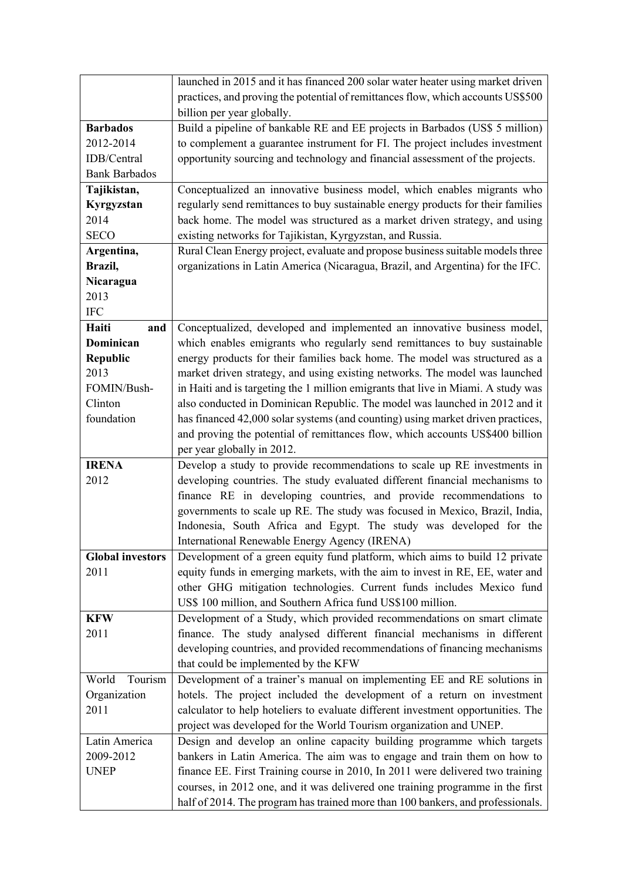|                         | launched in 2015 and it has financed 200 solar water heater using market driven   |
|-------------------------|-----------------------------------------------------------------------------------|
|                         | practices, and proving the potential of remittances flow, which accounts US\$500  |
|                         | billion per year globally.                                                        |
| <b>Barbados</b>         | Build a pipeline of bankable RE and EE projects in Barbados (US\$ 5 million)      |
| 2012-2014               | to complement a guarantee instrument for FI. The project includes investment      |
| IDB/Central             | opportunity sourcing and technology and financial assessment of the projects.     |
| <b>Bank Barbados</b>    |                                                                                   |
| Tajikistan,             | Conceptualized an innovative business model, which enables migrants who           |
| Kyrgyzstan              | regularly send remittances to buy sustainable energy products for their families  |
| 2014                    | back home. The model was structured as a market driven strategy, and using        |
| <b>SECO</b>             | existing networks for Tajikistan, Kyrgyzstan, and Russia.                         |
| Argentina,              | Rural Clean Energy project, evaluate and propose business suitable models three   |
| Brazil,                 | organizations in Latin America (Nicaragua, Brazil, and Argentina) for the IFC.    |
| Nicaragua               |                                                                                   |
| 2013                    |                                                                                   |
| $\rm IFC$               |                                                                                   |
| Haiti<br>and            | Conceptualized, developed and implemented an innovative business model,           |
| Dominican               | which enables emigrants who regularly send remittances to buy sustainable         |
| <b>Republic</b>         | energy products for their families back home. The model was structured as a       |
| 2013                    | market driven strategy, and using existing networks. The model was launched       |
| FOMIN/Bush-             | in Haiti and is targeting the 1 million emigrants that live in Miami. A study was |
| Clinton                 | also conducted in Dominican Republic. The model was launched in 2012 and it       |
| foundation              | has financed 42,000 solar systems (and counting) using market driven practices,   |
|                         | and proving the potential of remittances flow, which accounts US\$400 billion     |
|                         | per year globally in 2012.                                                        |
| <b>IRENA</b>            | Develop a study to provide recommendations to scale up RE investments in          |
| 2012                    | developing countries. The study evaluated different financial mechanisms to       |
|                         | finance RE in developing countries, and provide recommendations to                |
|                         | governments to scale up RE. The study was focused in Mexico, Brazil, India,       |
|                         | Indonesia, South Africa and Egypt. The study was developed for the                |
|                         | International Renewable Energy Agency (IRENA)                                     |
| <b>Global investors</b> | Development of a green equity fund platform, which aims to build 12 private       |
| 2011                    | equity funds in emerging markets, with the aim to invest in RE, EE, water and     |
|                         | other GHG mitigation technologies. Current funds includes Mexico fund             |
|                         | US\$ 100 million, and Southern Africa fund US\$100 million.                       |
| <b>KFW</b>              | Development of a Study, which provided recommendations on smart climate           |
| 2011                    | finance. The study analysed different financial mechanisms in different           |
|                         | developing countries, and provided recommendations of financing mechanisms        |
|                         | that could be implemented by the KFW                                              |
| World<br>Tourism        | Development of a trainer's manual on implementing EE and RE solutions in          |
| Organization            | hotels. The project included the development of a return on investment            |
| 2011                    | calculator to help hoteliers to evaluate different investment opportunities. The  |
|                         | project was developed for the World Tourism organization and UNEP.                |
| Latin America           | Design and develop an online capacity building programme which targets            |
| 2009-2012               | bankers in Latin America. The aim was to engage and train them on how to          |
| <b>UNEP</b>             | finance EE. First Training course in 2010, In 2011 were delivered two training    |
|                         | courses, in 2012 one, and it was delivered one training programme in the first    |
|                         | half of 2014. The program has trained more than 100 bankers, and professionals.   |